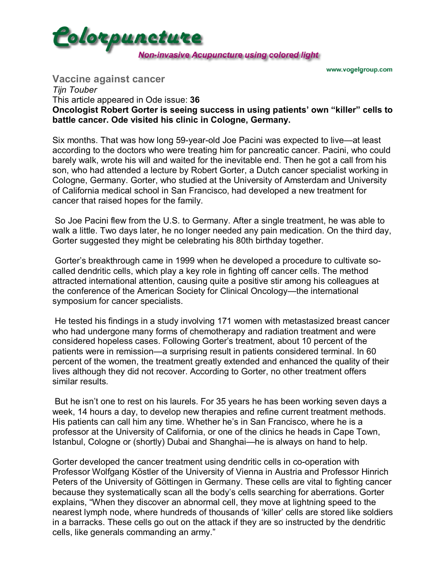

## **Vaccine against cancer** *Tijn Touber* This article appeared in Ode issue: **36 Oncologist Robert Gorter is seeing success in using patients' own "killer" cells to battle cancer. Ode visited his clinic in Cologne, Germany.**

Six months. That was how long 59-year-old Joe Pacini was expected to live—at least according to the doctors who were treating him for pancreatic cancer. Pacini, who could barely walk, wrote his will and waited for the inevitable end. Then he got a call from his son, who had attended a lecture by Robert Gorter, a Dutch cancer specialist working in Cologne, Germany. Gorter, who studied at the University of Amsterdam and University of California medical school in San Francisco, had developed a new treatment for cancer that raised hopes for the family.

 So Joe Pacini flew from the U.S. to Germany. After a single treatment, he was able to walk a little. Two days later, he no longer needed any pain medication. On the third day, Gorter suggested they might be celebrating his 80th birthday together.

 Gorterís breakthrough came in 1999 when he developed a procedure to cultivate socalled dendritic cells, which play a key role in fighting off cancer cells. The method attracted international attention, causing quite a positive stir among his colleagues at the conference of the American Society for Clinical Oncology—the international symposium for cancer specialists.

 He tested his findings in a study involving 171 women with metastasized breast cancer who had undergone many forms of chemotherapy and radiation treatment and were considered hopeless cases. Following Gorterís treatment, about 10 percent of the patients were in remission—a surprising result in patients considered terminal. In 60 percent of the women, the treatment greatly extended and enhanced the quality of their lives although they did not recover. According to Gorter, no other treatment offers similar results.

But he isn't one to rest on his laurels. For 35 years he has been working seven days a week, 14 hours a day, to develop new therapies and refine current treatment methods. His patients can call him any time. Whether he's in San Francisco, where he is a professor at the University of California, or one of the clinics he heads in Cape Town, Istanbul, Cologne or (shortly) Dubai and Shanghai—he is always on hand to help.

Gorter developed the cancer treatment using dendritic cells in co-operation with Professor Wolfgang Köstler of the University of Vienna in Austria and Professor Hinrich Peters of the University of Göttingen in Germany. These cells are vital to fighting cancer because they systematically scan all the bodyís cells searching for aberrations. Gorter explains, "When they discover an abnormal cell, they move at lightning speed to the nearest lymph node, where hundreds of thousands of 'killer' cells are stored like soldiers in a barracks. These cells go out on the attack if they are so instructed by the dendritic cells, like generals commanding an army."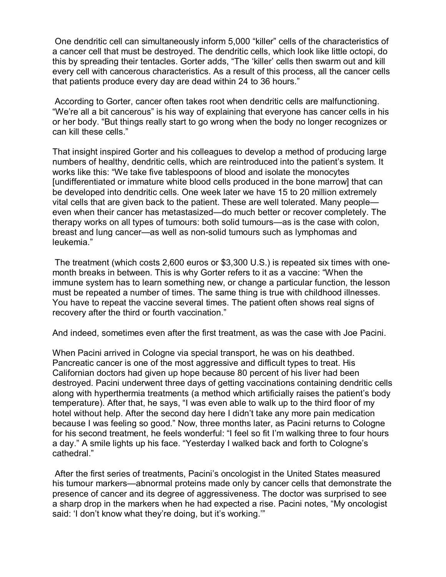One dendritic cell can simultaneously inform 5,000 "killer" cells of the characteristics of a cancer cell that must be destroyed. The dendritic cells, which look like little octopi, do this by spreading their tentacles. Gorter adds, "The 'killer' cells then swarm out and kill every cell with cancerous characteristics. As a result of this process, all the cancer cells that patients produce every day are dead within 24 to 36 hours."

 According to Gorter, cancer often takes root when dendritic cells are malfunctioning. "We're all a bit cancerous" is his way of explaining that everyone has cancer cells in his or her body. "But things really start to go wrong when the body no longer recognizes or can kill these cells."

That insight inspired Gorter and his colleagues to develop a method of producing large numbers of healthy, dendritic cells, which are reintroduced into the patient's system. It works like this: "We take five tablespoons of blood and isolate the monocytes [undifferentiated or immature white blood cells produced in the bone marrow] that can be developed into dendritic cells. One week later we have 15 to 20 million extremely vital cells that are given back to the patient. These are well tolerated. Many people even when their cancer has metastasized—do much better or recover completely. The therapy works on all types of tumours: both solid tumours—as is the case with colon, breast and lung cancer—as well as non-solid tumours such as lymphomas and leukemia."

 The treatment (which costs 2,600 euros or \$3,300 U.S.) is repeated six times with onemonth breaks in between. This is why Gorter refers to it as a vaccine: "When the immune system has to learn something new, or change a particular function, the lesson must be repeated a number of times. The same thing is true with childhood illnesses. You have to repeat the vaccine several times. The patient often shows real signs of recovery after the third or fourth vaccination."

And indeed, sometimes even after the first treatment, as was the case with Joe Pacini.

When Pacini arrived in Cologne via special transport, he was on his deathbed. Pancreatic cancer is one of the most aggressive and difficult types to treat. His Californian doctors had given up hope because 80 percent of his liver had been destroyed. Pacini underwent three days of getting vaccinations containing dendritic cells along with hyperthermia treatments (a method which artificially raises the patient's body temperature). After that, he says, "I was even able to walk up to the third floor of my hotel without help. After the second day here I didn't take any more pain medication because I was feeling so good." Now, three months later, as Pacini returns to Cologne for his second treatment, he feels wonderful: "I feel so fit I'm walking three to four hours a day." A smile lights up his face. "Yesterday I walked back and forth to Cologne's cathedral."

 After the first series of treatments, Paciniís oncologist in the United States measured his tumour markers—abnormal proteins made only by cancer cells that demonstrate the presence of cancer and its degree of aggressiveness. The doctor was surprised to see a sharp drop in the markers when he had expected a rise. Pacini notes, "My oncologist said: 'I don't know what they're doing, but it's working."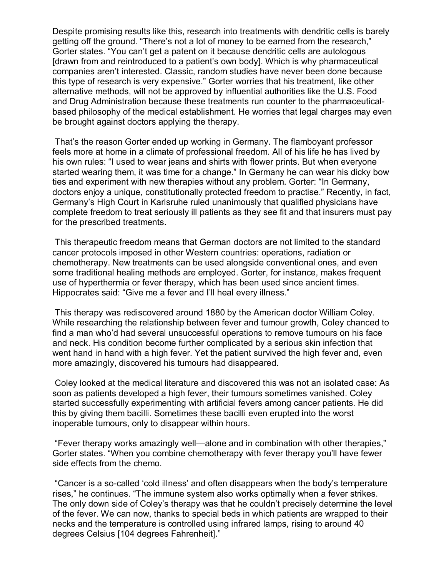Despite promising results like this, research into treatments with dendritic cells is barely getting off the ground. "There's not a lot of money to be earned from the research," Gorter states. "You can't get a patent on it because dendritic cells are autologous [drawn from and reintroduced to a patient's own body]. Which is why pharmaceutical companies arenít interested. Classic, random studies have never been done because this type of research is very expensive." Gorter worries that his treatment, like other alternative methods, will not be approved by influential authorities like the U.S. Food and Drug Administration because these treatments run counter to the pharmaceuticalbased philosophy of the medical establishment. He worries that legal charges may even be brought against doctors applying the therapy.

That's the reason Gorter ended up working in Germany. The flamboyant professor feels more at home in a climate of professional freedom. All of his life he has lived by his own rules: "I used to wear jeans and shirts with flower prints. But when everyone started wearing them, it was time for a change." In Germany he can wear his dicky bow ties and experiment with new therapies without any problem. Gorter: "In Germany, doctors enjoy a unique, constitutionally protected freedom to practise." Recently, in fact, Germanyís High Court in Karlsruhe ruled unanimously that qualified physicians have complete freedom to treat seriously ill patients as they see fit and that insurers must pay for the prescribed treatments.

 This therapeutic freedom means that German doctors are not limited to the standard cancer protocols imposed in other Western countries: operations, radiation or chemotherapy. New treatments can be used alongside conventional ones, and even some traditional healing methods are employed. Gorter, for instance, makes frequent use of hyperthermia or fever therapy, which has been used since ancient times. Hippocrates said: "Give me a fever and I'll heal every illness."

 This therapy was rediscovered around 1880 by the American doctor William Coley. While researching the relationship between fever and tumour growth, Coley chanced to find a man whoíd had several unsuccessful operations to remove tumours on his face and neck. His condition become further complicated by a serious skin infection that went hand in hand with a high fever. Yet the patient survived the high fever and, even more amazingly, discovered his tumours had disappeared.

 Coley looked at the medical literature and discovered this was not an isolated case: As soon as patients developed a high fever, their tumours sometimes vanished. Coley started successfully experimenting with artificial fevers among cancer patients. He did this by giving them bacilli. Sometimes these bacilli even erupted into the worst inoperable tumours, only to disappear within hours.

"Fever therapy works amazingly well—alone and in combination with other therapies," Gorter states. "When you combine chemotherapy with fever therapy you'll have fewer side effects from the chemo.

 ìCancer is a so-called ëcold illnessí and often disappears when the bodyís temperature rises," he continues, "The immune system also works optimally when a fever strikes. The only down side of Coley's therapy was that he couldn't precisely determine the level of the fever. We can now, thanks to special beds in which patients are wrapped to their necks and the temperature is controlled using infrared lamps, rising to around 40 degrees Celsius [104 degrees Fahrenheit]."